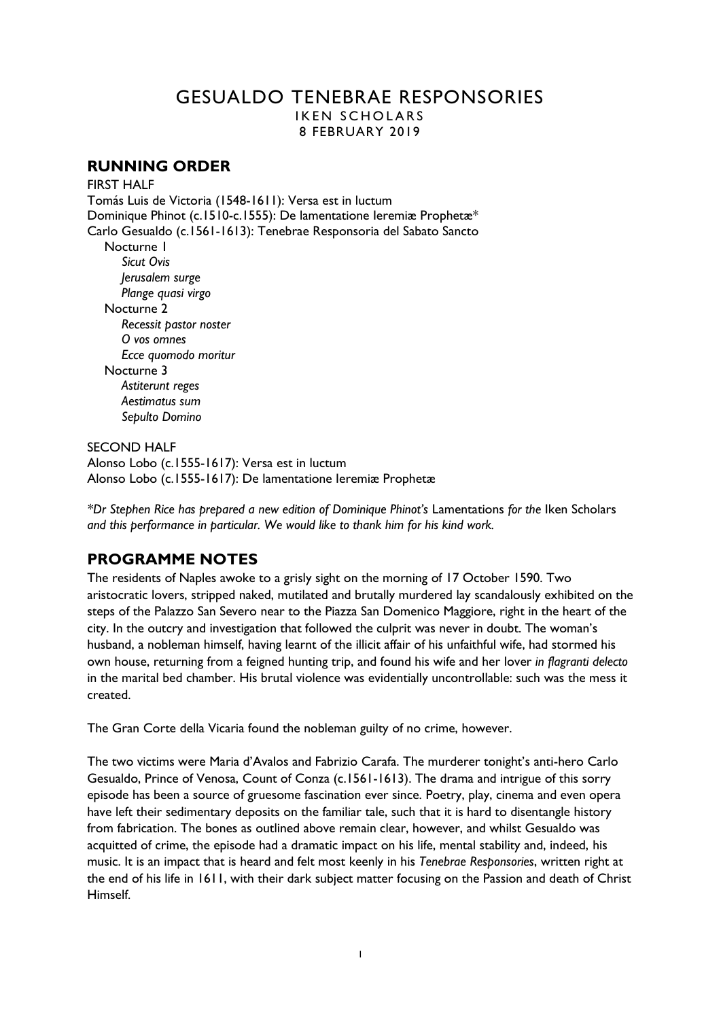# GESUALDO TENEBRAE RESPONSORIES IKEN SCHOLARS

8 FEBRUARY 2019

## **RUNNING ORDER**

**FIRST HALF** 

Tomás Luis de Victoria (1548-1611): Versa est in luctum Dominique Phinot (c.1510-c.1555): De lamentatione Ieremiæ Prophetæ\* Carlo Gesualdo (c.1561-1613): Tenebrae Responsoria del Sabato Sancto Nocturne 1 *Sicut Ovis Jerusalem surge Plange quasi virgo* Nocturne 2 *Recessit pastor noster O vos omnes Ecce quomodo moritur* Nocturne 3 *Astiterunt reges Aestimatus sum Sepulto Domino*

SECOND HALF Alonso Lobo (c.1555-1617): Versa est in luctum Alonso Lobo (c.1555-1617): De lamentatione Ieremiæ Prophetæ

*\*Dr Stephen Rice has prepared a new edition of Dominique Phinot's* Lamentations *for the* Iken Scholars *and this performance in particular. We would like to thank him for his kind work.* 

# **PROGRAMME NOTES**

The residents of Naples awoke to a grisly sight on the morning of 17 October 1590. Two aristocratic lovers, stripped naked, mutilated and brutally murdered lay scandalously exhibited on the steps of the Palazzo San Severo near to the Piazza San Domenico Maggiore, right in the heart of the city. In the outcry and investigation that followed the culprit was never in doubt. The woman's husband, a nobleman himself, having learnt of the illicit affair of his unfaithful wife, had stormed his own house, returning from a feigned hunting trip, and found his wife and her lover *in flagranti delecto* in the marital bed chamber. His brutal violence was evidentially uncontrollable: such was the mess it created.

The Gran Corte della Vicaria found the nobleman guilty of no crime, however.

The two victims were Maria d'Avalos and Fabrizio Carafa. The murderer tonight's anti-hero Carlo Gesualdo, Prince of Venosa, Count of Conza (c.1561-1613). The drama and intrigue of this sorry episode has been a source of gruesome fascination ever since. Poetry, play, cinema and even opera have left their sedimentary deposits on the familiar tale, such that it is hard to disentangle history from fabrication. The bones as outlined above remain clear, however, and whilst Gesualdo was acquitted of crime, the episode had a dramatic impact on his life, mental stability and, indeed, his music. It is an impact that is heard and felt most keenly in his *Tenebrae Responsories*, written right at the end of his life in 1611, with their dark subject matter focusing on the Passion and death of Christ Himself.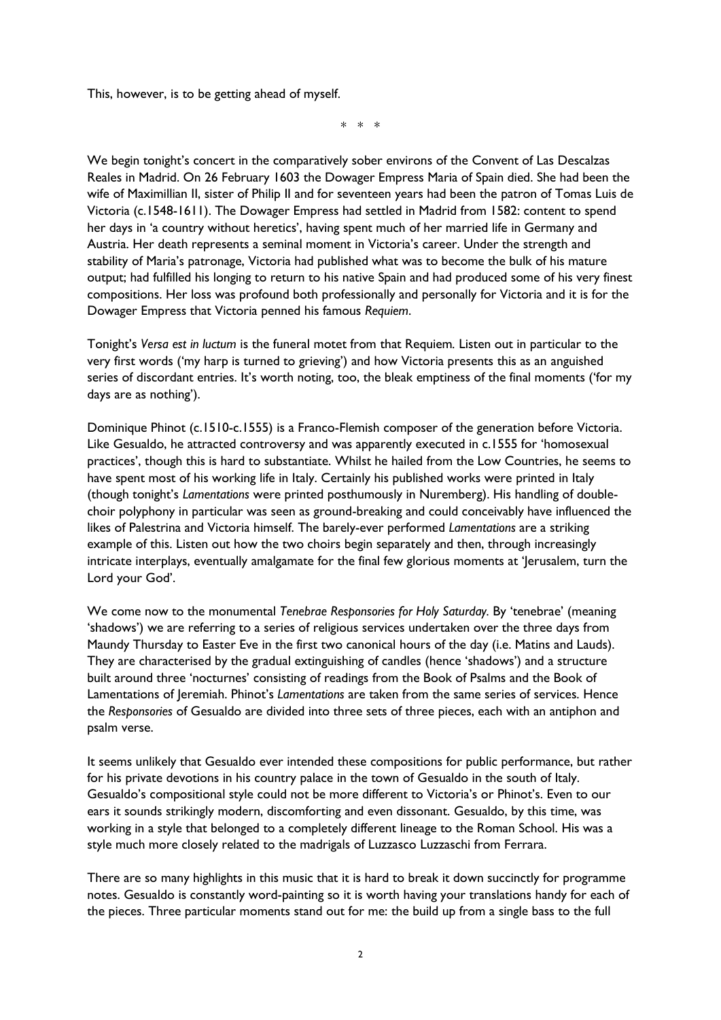This, however, is to be getting ahead of myself.

\* \* \*

We begin tonight's concert in the comparatively sober environs of the Convent of Las Descalzas Reales in Madrid. On 26 February 1603 the Dowager Empress Maria of Spain died. She had been the wife of Maximillian II, sister of Philip II and for seventeen years had been the patron of Tomas Luis de Victoria (c.1548-1611). The Dowager Empress had settled in Madrid from 1582: content to spend her days in 'a country without heretics', having spent much of her married life in Germany and Austria. Her death represents a seminal moment in Victoria's career. Under the strength and stability of Maria's patronage, Victoria had published what was to become the bulk of his mature output; had fulfilled his longing to return to his native Spain and had produced some of his very finest compositions. Her loss was profound both professionally and personally for Victoria and it is for the Dowager Empress that Victoria penned his famous *Requiem*.

Tonight's *Versa est in luctum* is the funeral motet from that Requiem*.* Listen out in particular to the very first words ('my harp is turned to grieving') and how Victoria presents this as an anguished series of discordant entries. It's worth noting, too, the bleak emptiness of the final moments ('for my days are as nothing').

Dominique Phinot (c.1510-c.1555) is a Franco-Flemish composer of the generation before Victoria. Like Gesualdo, he attracted controversy and was apparently executed in c.1555 for 'homosexual practices', though this is hard to substantiate. Whilst he hailed from the Low Countries, he seems to have spent most of his working life in Italy. Certainly his published works were printed in Italy (though tonight's *Lamentations* were printed posthumously in Nuremberg). His handling of doublechoir polyphony in particular was seen as ground-breaking and could conceivably have influenced the likes of Palestrina and Victoria himself. The barely-ever performed *Lamentations* are a striking example of this. Listen out how the two choirs begin separately and then, through increasingly intricate interplays, eventually amalgamate for the final few glorious moments at 'Jerusalem, turn the Lord your God'.

We come now to the monumental *Tenebrae Responsories for Holy Saturday.* By 'tenebrae' (meaning 'shadows') we are referring to a series of religious services undertaken over the three days from Maundy Thursday to Easter Eve in the first two canonical hours of the day (i.e. Matins and Lauds). They are characterised by the gradual extinguishing of candles (hence 'shadows') and a structure built around three 'nocturnes' consisting of readings from the Book of Psalms and the Book of Lamentations of Jeremiah. Phinot's *Lamentations* are taken from the same series of services. Hence the *Responsories* of Gesualdo are divided into three sets of three pieces, each with an antiphon and psalm verse.

It seems unlikely that Gesualdo ever intended these compositions for public performance, but rather for his private devotions in his country palace in the town of Gesualdo in the south of Italy. Gesualdo's compositional style could not be more different to Victoria's or Phinot's. Even to our ears it sounds strikingly modern, discomforting and even dissonant. Gesualdo, by this time, was working in a style that belonged to a completely different lineage to the Roman School. His was a style much more closely related to the madrigals of Luzzasco Luzzaschi from Ferrara.

There are so many highlights in this music that it is hard to break it down succinctly for programme notes. Gesualdo is constantly word-painting so it is worth having your translations handy for each of the pieces. Three particular moments stand out for me: the build up from a single bass to the full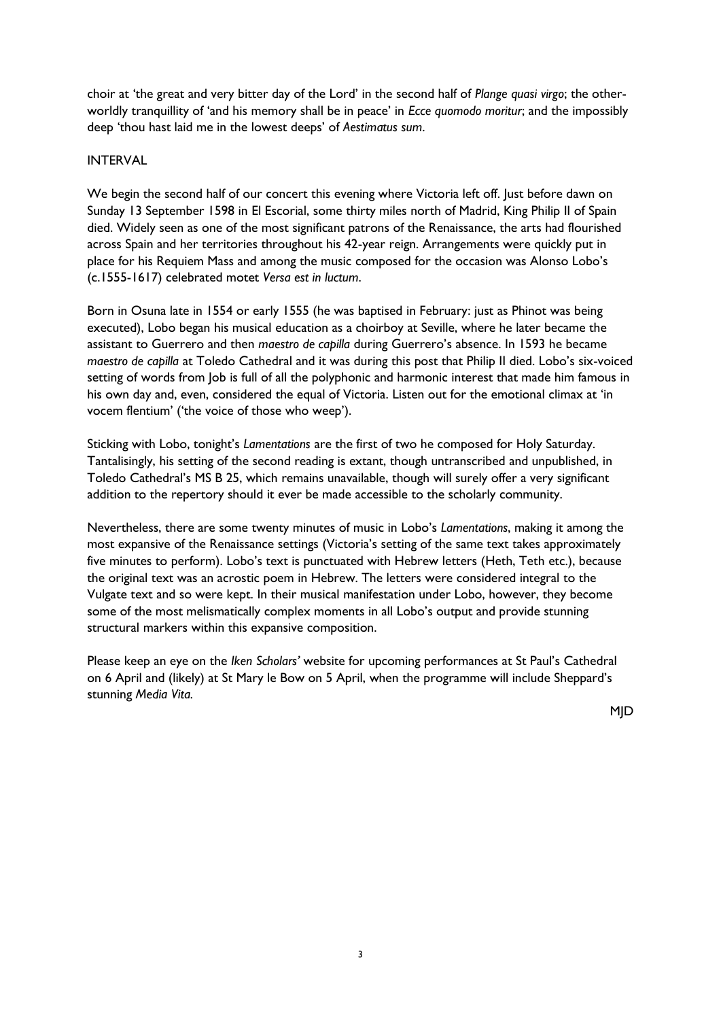choir at 'the great and very bitter day of the Lord' in the second half of *Plange quasi virgo*; the otherworldly tranquillity of 'and his memory shall be in peace' in *Ecce quomodo moritur*; and the impossibly deep 'thou hast laid me in the lowest deeps' of *Aestimatus sum*.

## INTERVAL

We begin the second half of our concert this evening where Victoria left off. Just before dawn on Sunday 13 September 1598 in El Escorial, some thirty miles north of Madrid, King Philip II of Spain died. Widely seen as one of the most significant patrons of the Renaissance, the arts had flourished across Spain and her territories throughout his 42-year reign. Arrangements were quickly put in place for his Requiem Mass and among the music composed for the occasion was Alonso Lobo's (c.1555-1617) celebrated motet *Versa est in luctum*.

Born in Osuna late in 1554 or early 1555 (he was baptised in February: just as Phinot was being executed), Lobo began his musical education as a choirboy at Seville, where he later became the assistant to Guerrero and then *maestro de capilla* during Guerrero's absence. In 1593 he became *maestro de capilla* at Toledo Cathedral and it was during this post that Philip II died. Lobo's six-voiced setting of words from Job is full of all the polyphonic and harmonic interest that made him famous in his own day and, even, considered the equal of Victoria. Listen out for the emotional climax at 'in vocem flentium' ('the voice of those who weep').

Sticking with Lobo, tonight's *Lamentations* are the first of two he composed for Holy Saturday. Tantalisingly, his setting of the second reading is extant, though untranscribed and unpublished, in Toledo Cathedral's MS B 25, which remains unavailable, though will surely offer a very significant addition to the repertory should it ever be made accessible to the scholarly community.

Nevertheless, there are some twenty minutes of music in Lobo's *Lamentations*, making it among the most expansive of the Renaissance settings (Victoria's setting of the same text takes approximately five minutes to perform). Lobo's text is punctuated with Hebrew letters (Heth, Teth etc.), because the original text was an acrostic poem in Hebrew. The letters were considered integral to the Vulgate text and so were kept. In their musical manifestation under Lobo, however, they become some of the most melismatically complex moments in all Lobo's output and provide stunning structural markers within this expansive composition.

Please keep an eye on the *Iken Scholars'* website for upcoming performances at St Paul's Cathedral on 6 April and (likely) at St Mary le Bow on 5 April, when the programme will include Sheppard's stunning *Media Vita.*

MJD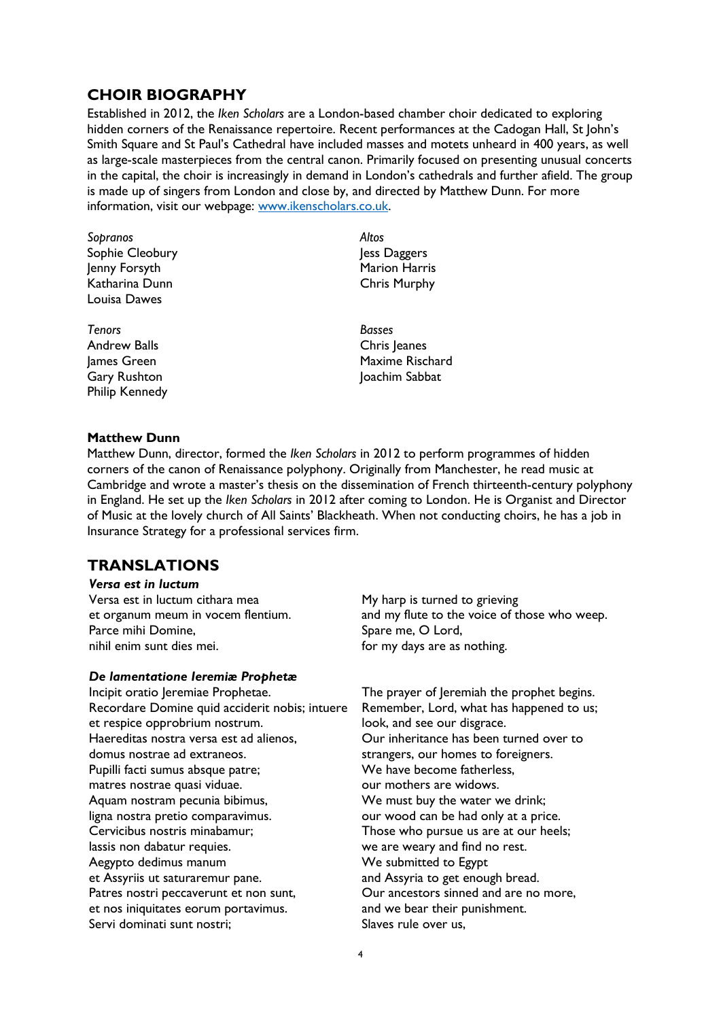## **CHOIR BIOGRAPHY**

Established in 2012, the *Iken Scholars* are a London-based chamber choir dedicated to exploring hidden corners of the Renaissance repertoire. Recent performances at the Cadogan Hall, St John's Smith Square and St Paul's Cathedral have included masses and motets unheard in 400 years, as well as large-scale masterpieces from the central canon. Primarily focused on presenting unusual concerts in the capital, the choir is increasingly in demand in London's cathedrals and further afield. The group is made up of singers from London and close by, and directed by Matthew Dunn. For more information, visit our webpage: [www.ikenscholars.co.uk.](http://www.ikenscholars.co.uk/)

- *Sopranos* Sophie Cleobury Jenny Forsyth Katharina Dunn Louisa Dawes
- *Tenors* Andrew Balls James Green Gary Rushton Philip Kennedy

*Altos* Jess Daggers Marion Harris Chris Murphy

*Basses* Chris Jeanes Maxime Rischard Joachim Sabbat

#### **Matthew Dunn**

Matthew Dunn, director, formed the *Iken Scholars* in 2012 to perform programmes of hidden corners of the canon of Renaissance polyphony. Originally from Manchester, he read music at Cambridge and wrote a master's thesis on the dissemination of French thirteenth-century polyphony in England. He set up the *Iken Scholars* in 2012 after coming to London. He is Organist and Director of Music at the lovely church of All Saints' Blackheath. When not conducting choirs, he has a job in Insurance Strategy for a professional services firm.

## **TRANSLATIONS**

| Versa est in luctum                |                                              |
|------------------------------------|----------------------------------------------|
| Versa est in luctum cithara mea    | My harp is turned to grieving                |
| et organum meum in vocem flentium. | and my flute to the voice of those who weep. |
| Parce mihi Domine,                 | Spare me, O Lord,                            |
| nihil enim sunt dies mei.          | for my days are as nothing.                  |

#### *De lamentatione Ieremiæ Prophetæ*

Incipit oratio Jeremiae Prophetae. Recordare Domine quid acciderit nobis; intuere et respice opprobrium nostrum. Haereditas nostra versa est ad alienos, domus nostrae ad extraneos. Pupilli facti sumus absque patre; matres nostrae quasi viduae. Aquam nostram pecunia bibimus, ligna nostra pretio comparavimus. Cervicibus nostris minabamur; lassis non dabatur requies. Aegypto dedimus manum et Assyriis ut saturaremur pane. Patres nostri peccaverunt et non sunt, et nos iniquitates eorum portavimus. Servi dominati sunt nostri;

The prayer of Jeremiah the prophet begins. Remember, Lord, what has happened to us; look, and see our disgrace. Our inheritance has been turned over to strangers, our homes to foreigners. We have become fatherless, our mothers are widows. We must buy the water we drink; our wood can be had only at a price. Those who pursue us are at our heels; we are weary and find no rest. We submitted to Egypt and Assyria to get enough bread. Our ancestors sinned and are no more, and we bear their punishment. Slaves rule over us,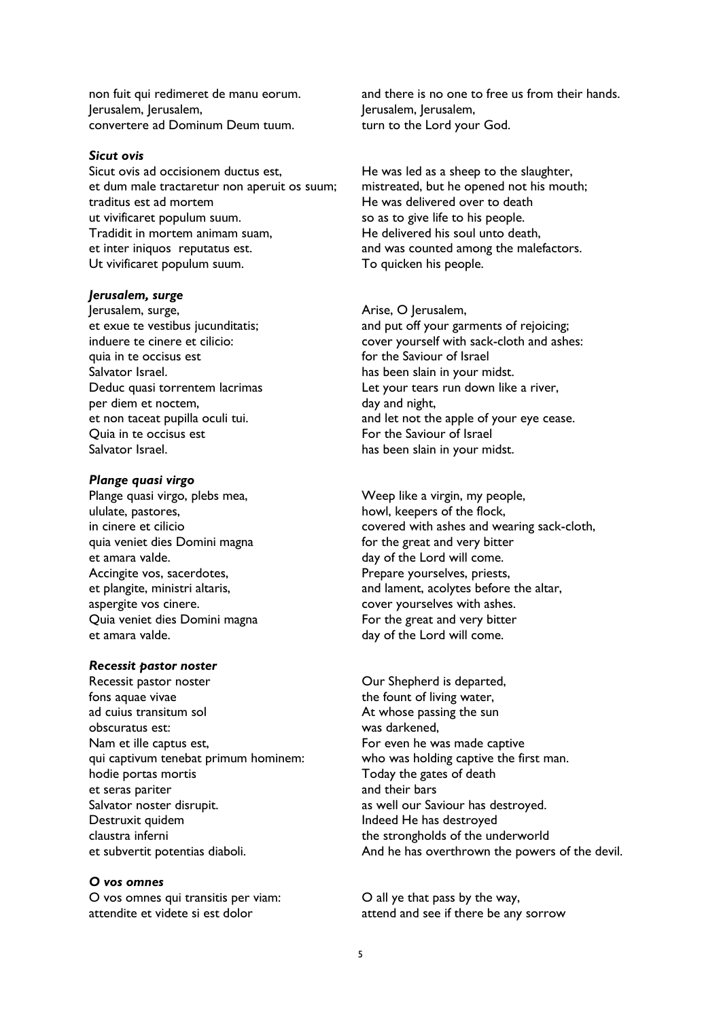non fuit qui redimeret de manu eorum. Jerusalem, Jerusalem, convertere ad Dominum Deum tuum.

#### *Sicut ovis*

Sicut ovis ad occisionem ductus est, et dum male tractaretur non aperuit os suum; traditus est ad mortem ut vivificaret populum suum. Tradidit in mortem animam suam, et inter iniquos reputatus est. Ut vivificaret populum suum.

#### *Jerusalem, surge*

Jerusalem, surge, et exue te vestibus jucunditatis; induere te cinere et cilicio: quia in te occisus est Salvator Israel. Deduc quasi torrentem lacrimas per diem et noctem, et non taceat pupilla oculi tui. Quia in te occisus est Salvator Israel.

#### *Plange quasi virgo*

Plange quasi virgo, plebs mea, ululate, pastores, in cinere et cilicio quia veniet dies Domini magna et amara valde. Accingite vos, sacerdotes, et plangite, ministri altaris, aspergite vos cinere. Quia veniet dies Domini magna et amara valde.

#### *Recessit pastor noster*

Recessit pastor noster fons aquae vivae ad cuius transitum sol obscuratus est: Nam et ille captus est, qui captivum tenebat primum hominem: hodie portas mortis et seras pariter Salvator noster disrupit. Destruxit quidem claustra inferni et subvertit potentias diaboli.

*O vos omnes* O vos omnes qui transitis per viam: attendite et videte si est dolor

and there is no one to free us from their hands. Jerusalem, Jerusalem, turn to the Lord your God.

He was led as a sheep to the slaughter, mistreated, but he opened not his mouth; He was delivered over to death so as to give life to his people. He delivered his soul unto death, and was counted among the malefactors. To quicken his people.

#### Arise, O Jerusalem,

and put off your garments of rejoicing; cover yourself with sack-cloth and ashes: for the Saviour of Israel has been slain in your midst. Let your tears run down like a river, day and night, and let not the apple of your eye cease. For the Saviour of Israel has been slain in your midst.

Weep like a virgin, my people, howl, keepers of the flock, covered with ashes and wearing sack-cloth, for the great and very bitter day of the Lord will come. Prepare yourselves, priests, and lament, acolytes before the altar, cover yourselves with ashes. For the great and very bitter

day of the Lord will come.

Our Shepherd is departed, the fount of living water, At whose passing the sun was darkened, For even he was made captive who was holding captive the first man. Today the gates of death and their bars as well our Saviour has destroyed. Indeed He has destroyed the strongholds of the underworld And he has overthrown the powers of the devil.

O all ye that pass by the way, attend and see if there be any sorrow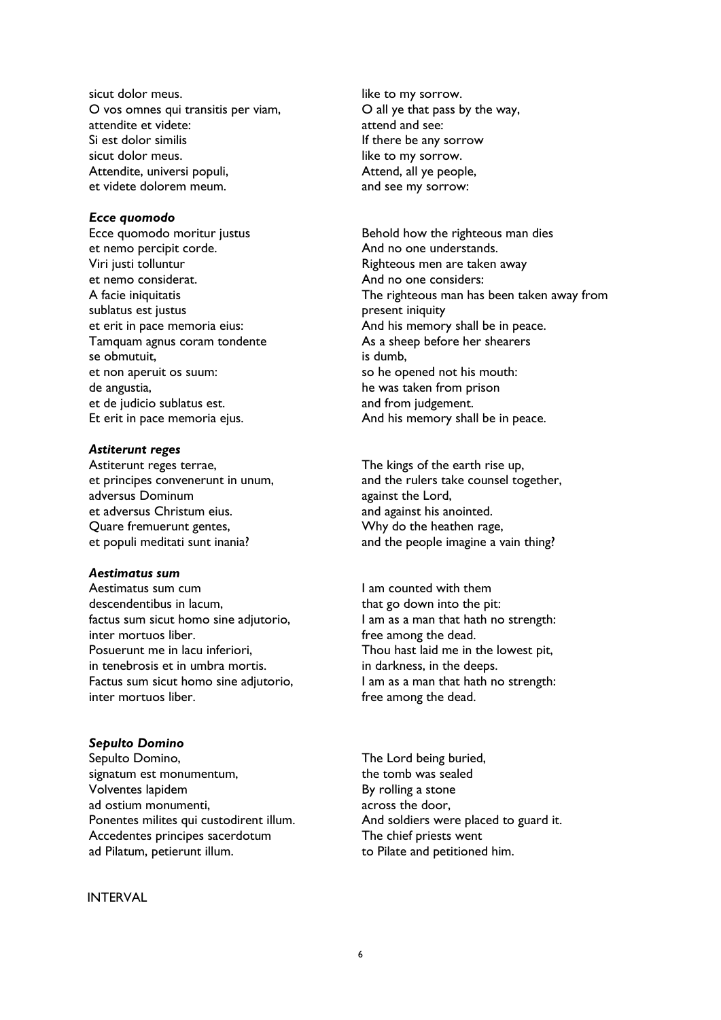sicut dolor meus. O vos omnes qui transitis per viam, attendite et videte: Si est dolor similis sicut dolor meus. Attendite, universi populi, et videte dolorem meum.

#### *Ecce quomodo*

Ecce quomodo moritur justus et nemo percipit corde. Viri justi tolluntur et nemo considerat. A facie iniquitatis sublatus est justus et erit in pace memoria eius: Tamquam agnus coram tondente se obmutuit, et non aperuit os suum: de angustia, et de judicio sublatus est. Et erit in pace memoria ejus.

#### *Astiterunt reges*

Astiterunt reges terrae, et principes convenerunt in unum, adversus Dominum et adversus Christum eius. Quare fremuerunt gentes, et populi meditati sunt inania?

## *Aestimatus sum*

Aestimatus sum cum descendentibus in lacum, factus sum sicut homo sine adjutorio, inter mortuos liber. Posuerunt me in lacu inferiori, in tenebrosis et in umbra mortis. Factus sum sicut homo sine adjutorio, inter mortuos liber.

### *Sepulto Domino*

Sepulto Domino, signatum est monumentum, Volventes lapidem ad ostium monumenti, Ponentes milites qui custodirent illum. Accedentes principes sacerdotum ad Pilatum, petierunt illum.

### INTERVAL

like to my sorrow. O all ye that pass by the way, attend and see: If there be any sorrow like to my sorrow. Attend, all ye people, and see my sorrow:

Behold how the righteous man dies And no one understands. Righteous men are taken away And no one considers: The righteous man has been taken away from present iniquity And his memory shall be in peace. As a sheep before her shearers is dumb, so he opened not his mouth: he was taken from prison and from judgement. And his memory shall be in peace.

The kings of the earth rise up, and the rulers take counsel together, against the Lord, and against his anointed. Why do the heathen rage, and the people imagine a vain thing?

I am counted with them that go down into the pit: I am as a man that hath no strength: free among the dead. Thou hast laid me in the lowest pit, in darkness, in the deeps. I am as a man that hath no strength: free among the dead.

The Lord being buried, the tomb was sealed By rolling a stone across the door, And soldiers were placed to guard it. The chief priests went to Pilate and petitioned him.